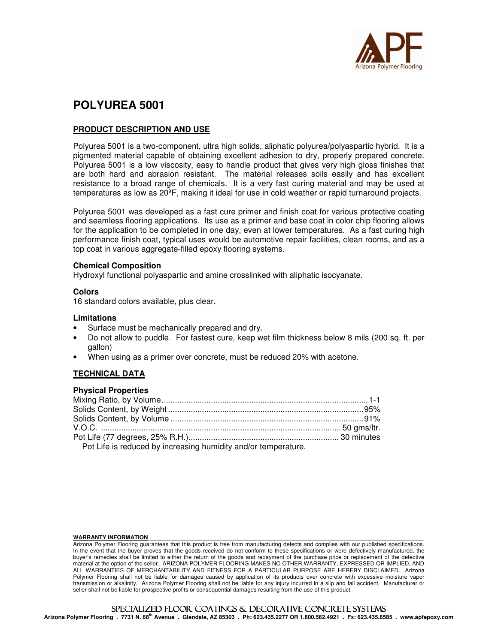

# **POLYUREA 5001**

# **PRODUCT DESCRIPTION AND USE**

Polyurea 5001 is a two-component, ultra high solids, aliphatic polyurea/polyaspartic hybrid. It is a pigmented material capable of obtaining excellent adhesion to dry, properly prepared concrete. Polyurea 5001 is a low viscosity, easy to handle product that gives very high gloss finishes that are both hard and abrasion resistant. The material releases soils easily and has excellent resistance to a broad range of chemicals. It is a very fast curing material and may be used at temperatures as low as 20ºF, making it ideal for use in cold weather or rapid turnaround projects.

Polyurea 5001 was developed as a fast cure primer and finish coat for various protective coating and seamless flooring applications. Its use as a primer and base coat in color chip flooring allows for the application to be completed in one day, even at lower temperatures. As a fast curing high performance finish coat, typical uses would be automotive repair facilities, clean rooms, and as a top coat in various aggregate-filled epoxy flooring systems.

#### **Chemical Composition**

Hydroxyl functional polyaspartic and amine crosslinked with aliphatic isocyanate.

#### **Colors**

16 standard colors available, plus clear.

#### **Limitations**

- Surface must be mechanically prepared and dry.
- Do not allow to puddle. For fastest cure, keep wet film thickness below 8 mils (200 sq. ft. per gallon)
- When using as a primer over concrete, must be reduced 20% with acetone.

#### **TECHNICAL DATA**

### **Physical Properties**

| Pot Life is reduced by increasing humidity and/or temperature. |  |
|----------------------------------------------------------------|--|

#### WARRANTY INFORMATION

Arizona Polymer Flooring guarantees that this product is free from manufacturing defects and complies with our published specifications. In the event that the buyer proves that the goods received do not conform to these specifications or were defectively manufactured, the buyer's remedies shall be limited to either the return of the goods and repayment of the purchase price or replacement of the defective material at the option of the seller. ARIZONA POLYMER FLOORING MAKES NO OTHER WARRANTY, EXPRESSED OR IMPLIED, AND ALL WARRANTIES OF MERCHANTABILITY AND FITNESS FOR A PARTICULAR PURPOSE ARE HEREBY DISCLAIMED. Arizona Polymer Flooring shall not be liable for damages caused by application of its products over concrete with excessive moisture vapor transmission or alkalinity. Arizona Polymer Flooring shall not be liable for any injury incurred in a slip and fall accident. Manufacturer or seller shall not be liable for prospective profits or consequential damages resulting from the use of this product.

# SPECIALIZED FLOOR COATINGS & DECORATIVE CONCRETE SYSTEMS

**Arizona Polymer Flooring . 7731 N. 68th Avenue . Glendale, AZ 85303 . Ph: 623.435.2277 OR 1.800.562.4921 . Fx: 623.435.8585 . www.apfepoxy.com**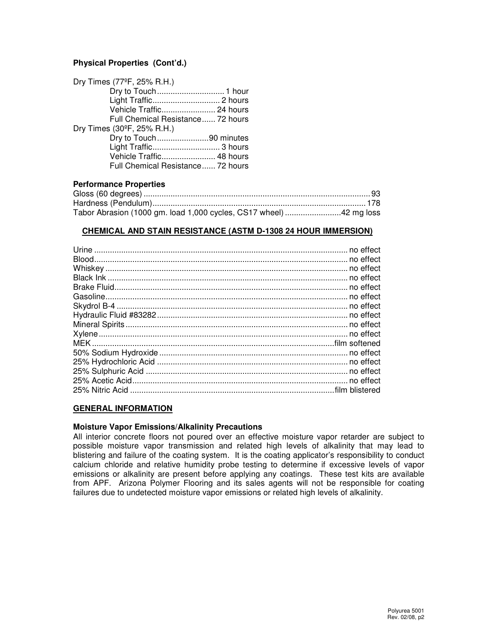# **Physical Properties (Cont'd.)**

| Dry Times (77°F, 25% R.H.)        |
|-----------------------------------|
|                                   |
|                                   |
| Vehicle Traffic 24 hours          |
| Full Chemical Resistance 72 hours |
| Dry Times (30°F, 25% R.H.)        |
| Dry to Touch90 minutes            |
|                                   |
| Vehicle Traffic 48 hours          |
| Full Chemical Resistance 72 hours |

#### **Performance Properties**

| Tabor Abrasion (1000 gm. load 1,000 cycles, CS17 wheel) 42 mg loss |  |
|--------------------------------------------------------------------|--|

#### **CHEMICAL AND STAIN RESISTANCE (ASTM D-1308 24 HOUR IMMERSION)**

# **GENERAL INFORMATION**

#### **Moisture Vapor Emissions/Alkalinity Precautions**

All interior concrete floors not poured over an effective moisture vapor retarder are subject to possible moisture vapor transmission and related high levels of alkalinity that may lead to blistering and failure of the coating system. It is the coating applicator's responsibility to conduct calcium chloride and relative humidity probe testing to determine if excessive levels of vapor emissions or alkalinity are present before applying any coatings. These test kits are available from APF. Arizona Polymer Flooring and its sales agents will not be responsible for coating failures due to undetected moisture vapor emissions or related high levels of alkalinity.